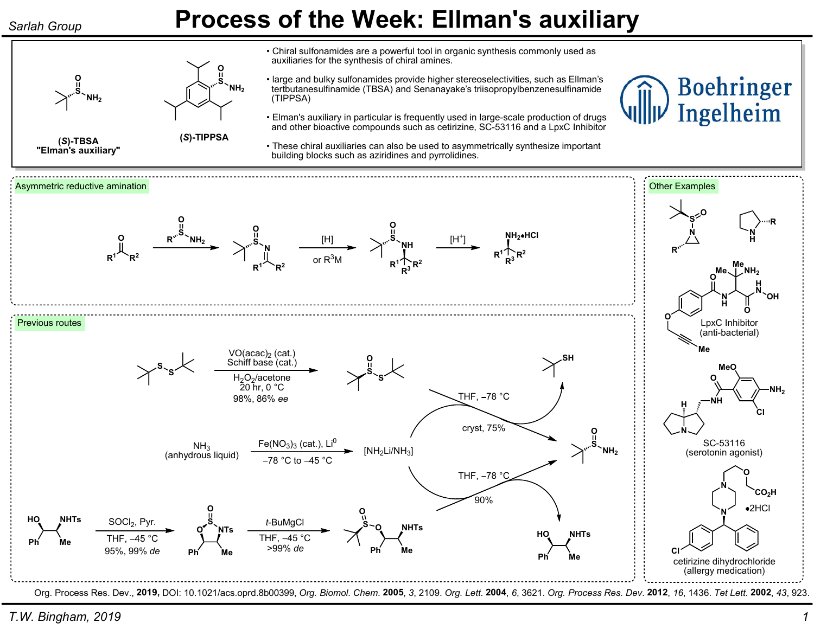(S)-TBSA "Elman's auxiliary"

S. O

NH<sub>2</sub>

(S)-TIPPSA

S O

NH<sub>2</sub>

## Sarlah Group **Process of the Week: Ellman's auxiliary**

• Chiral sulfonamides are a powerful tool in organic synthesis commonly used as auxiliaries for the synthesis of chiral amines.

- large and bulky sulfonamides provide higher stereoselectivities, such as Ellman's tertbutanesulfinamide (TBSA) and Senanayake's triisopropylbenzenesulfinamide (TIPPSA)
- Elman's auxiliary in particular is frequently used in large-scale production of drugs and other bioactive compounds such as cetirizine, SC-53116 and a LpxC Inhibitor
- These chiral auxiliaries can also be used to asymmetrically synthesize important building blocks such as aziridines and pyrrolidines.



Org. Process Res. Dev., 2019, DOI: 10.1021/acs.oprd.8b00399, Org. Biomol. Chem. 2005, 3, 2109. Org. Lett. 2004, 6, 3621. Org. Process Res. Dev. 2012, 16, 1436. Tet Lett. 2002, 43, 923.

**Boehringer** 

Ingelheim